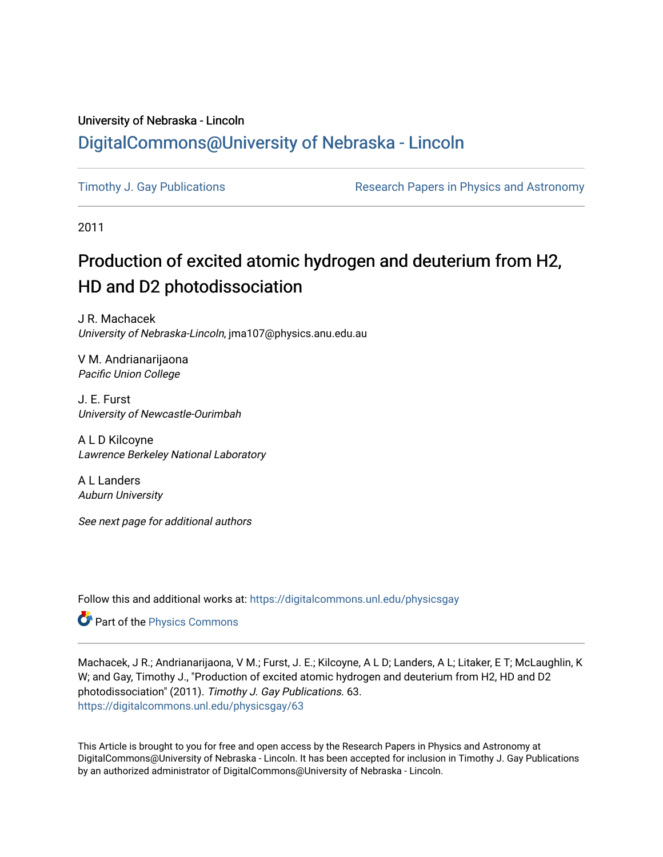### University of Nebraska - Lincoln [DigitalCommons@University of Nebraska - Lincoln](https://digitalcommons.unl.edu/)

[Timothy J. Gay Publications](https://digitalcommons.unl.edu/physicsgay) **Research Papers in Physics and Astronomy** 

2011

## Production of excited atomic hydrogen and deuterium from H2, HD and D2 photodissociation

J R. Machacek University of Nebraska-Lincoln, jma107@physics.anu.edu.au

V M. Andrianarijaona Pacific Union College

J. E. Furst University of Newcastle-Ourimbah

A L D Kilcoyne Lawrence Berkeley National Laboratory

A L Landers Auburn University

See next page for additional authors

Follow this and additional works at: [https://digitalcommons.unl.edu/physicsgay](https://digitalcommons.unl.edu/physicsgay?utm_source=digitalcommons.unl.edu%2Fphysicsgay%2F63&utm_medium=PDF&utm_campaign=PDFCoverPages)

Part of the [Physics Commons](http://network.bepress.com/hgg/discipline/193?utm_source=digitalcommons.unl.edu%2Fphysicsgay%2F63&utm_medium=PDF&utm_campaign=PDFCoverPages)

Machacek, J R.; Andrianarijaona, V M.; Furst, J. E.; Kilcoyne, A L D; Landers, A L; Litaker, E T; McLaughlin, K W; and Gay, Timothy J., "Production of excited atomic hydrogen and deuterium from H2, HD and D2 photodissociation" (2011). Timothy J. Gay Publications. 63. [https://digitalcommons.unl.edu/physicsgay/63](https://digitalcommons.unl.edu/physicsgay/63?utm_source=digitalcommons.unl.edu%2Fphysicsgay%2F63&utm_medium=PDF&utm_campaign=PDFCoverPages) 

This Article is brought to you for free and open access by the Research Papers in Physics and Astronomy at DigitalCommons@University of Nebraska - Lincoln. It has been accepted for inclusion in Timothy J. Gay Publications by an authorized administrator of DigitalCommons@University of Nebraska - Lincoln.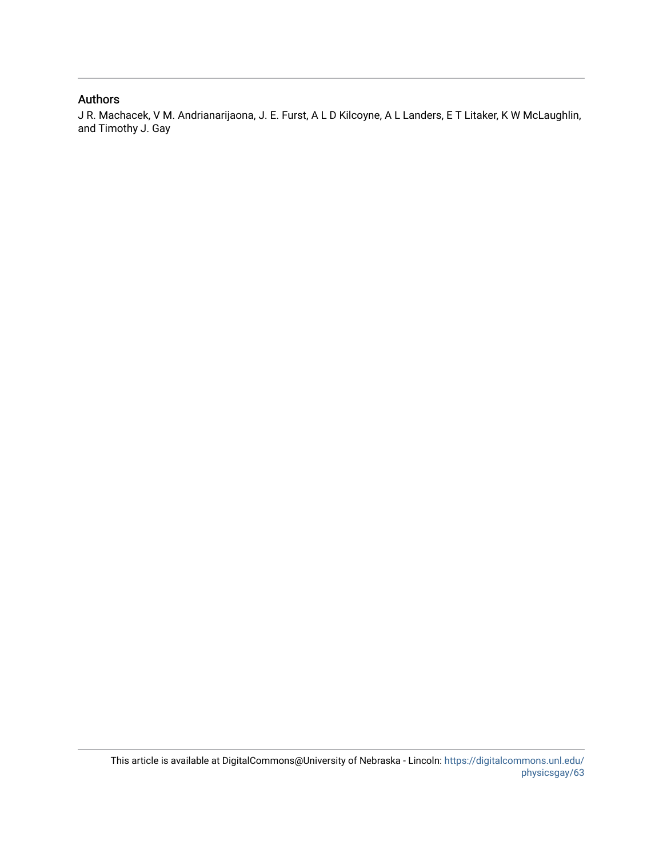#### Authors

J R. Machacek, V M. Andrianarijaona, J. E. Furst, A L D Kilcoyne, A L Landers, E T Litaker, K W McLaughlin, and Timothy J. Gay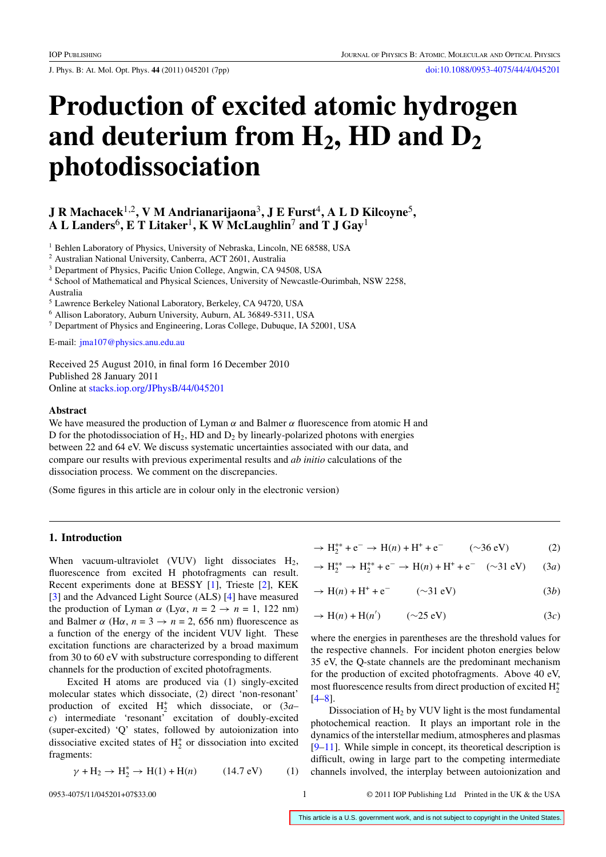<span id="page-2-0"></span>J. Phys. B: At. Mol. Opt. Phys. **44** (2011) 045201 (7pp) [doi:10.1088/0953-4075/44/4/045201](http://dx.doi.org/10.1088/0953-4075/44/4/045201)

# **Production of excited atomic hydrogen** and deuterium from H<sub>2</sub>, HD and D<sub>2</sub> **photodissociation**

#### **J R Machacek**1,2**, V M Andrianarijaona**3**, J E Furst**4**, A L D Kilcoyne**5**, A L Landers**6**, E T Litaker**1**, K W McLaughlin**<sup>7</sup> **and T J Gay**<sup>1</sup>

<sup>1</sup> Behlen Laboratory of Physics, University of Nebraska, Lincoln, NE 68588, USA

<sup>2</sup> Australian National University, Canberra, ACT 2601, Australia

<sup>3</sup> Department of Physics, Pacific Union College, Angwin, CA 94508, USA

<sup>4</sup> School of Mathematical and Physical Sciences, University of Newcastle-Ourimbah, NSW 2258, Australia

<sup>5</sup> Lawrence Berkeley National Laboratory, Berkeley, CA 94720, USA

<sup>6</sup> Allison Laboratory, Auburn University, Auburn, AL 36849-5311, USA

<sup>7</sup> Department of Physics and Engineering, Loras College, Dubuque, IA 52001, USA

E-mail: [jma107@physics.anu.edu.au](mailto:jma107@physics.anu.edu.au)

Received 25 August 2010, in final form 16 December 2010 Published 28 January 2011 Online at [stacks.iop.org/JPhysB/44/045201](http://stacks.iop.org/JPhysB/44/045201)

#### **Abstract**

We have measured the production of Lyman  $\alpha$  and Balmer  $\alpha$  fluorescence from atomic H and D for the photodissociation of  $H_2$ , HD and  $D_2$  by linearly-polarized photons with energies between 22 and 64 eV. We discuss systematic uncertainties associated with our data, and compare our results with previous experimental results and *ab initio* calculations of the dissociation process. We comment on the discrepancies.

(Some figures in this article are in colour only in the electronic version)

#### **1. Introduction**

When vacuum-ultraviolet (VUV) light dissociates  $H_2$ , fluorescence from excited H photofragments can result. Recent experiments done at BESSY [\[1\]](#page-7-0), Trieste [\[2](#page-7-0)], KEK [\[3](#page-7-0)] and the Advanced Light Source (ALS) [\[4\]](#page-7-0) have measured the production of Lyman  $\alpha$  (Ly $\alpha$ ,  $n = 2 \rightarrow n = 1$ , 122 nm) and Balmer  $\alpha$  (H $\alpha$ ,  $n = 3 \rightarrow n = 2$ , 656 nm) fluorescence as a function of the energy of the incident VUV light. These excitation functions are characterized by a broad maximum from 30 to 60 eV with substructure corresponding to different channels for the production of excited photofragments.

Excited H atoms are produced via (1) singly-excited molecular states which dissociate, (2) direct 'non-resonant' production of excited  $H_2^+$  which dissociate, or  $(3a$ *c*) intermediate 'resonant' excitation of doubly-excited (super-excited) 'Q' states, followed by autoionization into dissociative excited states of  $H_2^+$  or dissociation into excited fragments:

$$
\gamma + H_2 \to H_2^* \to H(1) + H(n)
$$
 (14.7 eV) (1)

$$
\to H_2^{**} + e^- \to H(n) + H^+ + e^- \qquad (\sim 36 \text{ eV}) \tag{2}
$$

$$
\rightarrow H_2^{**} \rightarrow H_2^{**} + e^- \rightarrow H(n) + H^+ + e^- \quad (\sim 31 \text{ eV}) \tag{3a}
$$

$$
\rightarrow H(n) + H^{+} + e^{-} \qquad (\sim 31 \text{ eV}) \tag{3b}
$$

$$
\rightarrow H(n) + H(n') \qquad (\sim 25 \text{ eV}) \tag{3c}
$$

where the energies in parentheses are the threshold values for the respective channels. For incident photon energies below 35 eV, the Q-state channels are the predominant mechanism for the production of excited photofragments. Above 40 eV, most fluorescence results from direct production of excited  $H_2^+$ [\[4–8](#page-7-0)].

Dissociation of  $H_2$  by VUV light is the most fundamental photochemical reaction. It plays an important role in the dynamics of the interstellar medium, atmospheres and plasmas [\[9](#page-7-0)[–11](#page-8-0)]. While simple in concept, its theoretical description is difficult, owing in large part to the competing intermediate channels involved, the interplay between autoionization and

0953-4075/11/045201+07\$33.00 1 © 2011 IOP Publishing Ltd Printed in the UK & the USA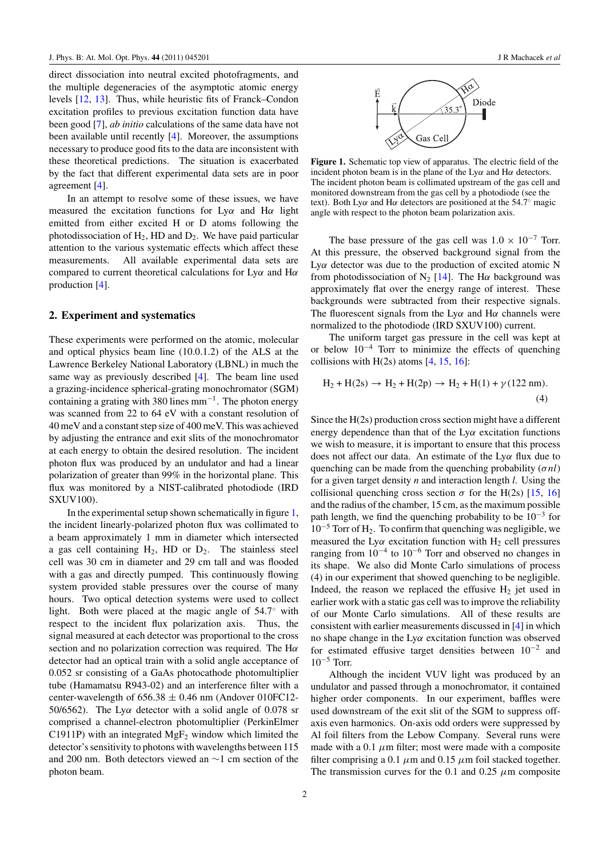direct dissociation into neutral excited photofragments, and the multiple degeneracies of the asymptotic atomic energy levels [\[12](#page-8-0), [13\]](#page-8-0). Thus, while heuristic fits of Franck–Condon excitation profiles to previous excitation function data have been good [\[7\]](#page-7-0), *ab initio* calculations of the same data have not been available until recently [\[4](#page-7-0)]. Moreover, the assumptions necessary to produce good fits to the data are inconsistent with these theoretical predictions. The situation is exacerbated by the fact that different experimental data sets are in poor agreement [\[4](#page-7-0)].

In an attempt to resolve some of these issues, we have measured the excitation functions for Ly*α* and H*α* light emitted from either excited H or D atoms following the photodissociation of  $H_2$ , HD and  $D_2$ . We have paid particular attention to the various systematic effects which affect these measurements. All available experimental data sets are compared to current theoretical calculations for Ly*α* and H*α* production [\[4](#page-7-0)].

#### **2. Experiment and systematics**

These experiments were performed on the atomic, molecular and optical physics beam line (10.0.1.2) of the ALS at the Lawrence Berkeley National Laboratory (LBNL) in much the same way as previously described [\[4\]](#page-7-0). The beam line used a grazing-incidence spherical-grating monochromator (SGM) containing a grating with 380 lines mm−1. The photon energy was scanned from 22 to 64 eV with a constant resolution of 40 meV and a constant step size of 400 meV. This was achieved by adjusting the entrance and exit slits of the monochromator at each energy to obtain the desired resolution. The incident photon flux was produced by an undulator and had a linear polarization of greater than 99% in the horizontal plane. This flux was monitored by a NIST-calibrated photodiode (IRD SXUV100).

In the experimental setup shown schematically in figure 1, the incident linearly-polarized photon flux was collimated to a beam approximately 1 mm in diameter which intersected a gas cell containing  $H_2$ , HD or  $D_2$ . The stainless steel cell was 30 cm in diameter and 29 cm tall and was flooded with a gas and directly pumped. This continuously flowing system provided stable pressures over the course of many hours. Two optical detection systems were used to collect light. Both were placed at the magic angle of 54.7◦ with respect to the incident flux polarization axis. Thus, the signal measured at each detector was proportional to the cross section and no polarization correction was required. The H*α* detector had an optical train with a solid angle acceptance of 0.052 sr consisting of a GaAs photocathode photomultiplier tube (Hamamatsu R943-02) and an interference filter with a center-wavelength of  $656.38 \pm 0.46$  nm (Andover 010FC12-50/6562). The Ly*α* detector with a solid angle of 0.078 sr comprised a channel-electron photomultiplier (PerkinElmer C1911P) with an integrated  $MgF_2$  window which limited the detector's sensitivity to photons with wavelengths between 115 and 200 nm. Both detectors viewed an ∼1 cm section of the photon beam.



**Figure 1.** Schematic top view of apparatus. The electric field of the incident photon beam is in the plane of the Ly*α* and H*α* detectors. The incident photon beam is collimated upstream of the gas cell and monitored downstream from the gas cell by a photodiode (see the text). Both Ly*α* and H*α* detectors are positioned at the 54.7◦ magic angle with respect to the photon beam polarization axis.

The base pressure of the gas cell was  $1.0 \times 10^{-7}$  Torr. At this pressure, the observed background signal from the Ly*α* detector was due to the production of excited atomic N from photodissociation of N<sub>2</sub> [\[14](#page-8-0)]. The H $\alpha$  background was approximately flat over the energy range of interest. These backgrounds were subtracted from their respective signals. The fluorescent signals from the Ly*α* and H*α* channels were normalized to the photodiode (IRD SXUV100) current.

The uniform target gas pressure in the cell was kept at or below  $10^{-4}$  Torr to minimize the effects of quenching collisions with  $H(2s)$  atoms  $[4, 15, 16]$  $[4, 15, 16]$  $[4, 15, 16]$  $[4, 15, 16]$  $[4, 15, 16]$ :

$$
H_2 + H(2s) \to H_2 + H(2p) \to H_2 + H(1) + \gamma (122 \text{ nm}).
$$
\n(4)

Since the H(2s) production cross section might have a different energy dependence than that of the Ly*α* excitation functions we wish to measure, it is important to ensure that this process does not affect our data. An estimate of the Ly*α* flux due to quenching can be made from the quenching probability (*σnl*) for a given target density *n* and interaction length *l*. Using the collisional quenching cross section  $\sigma$  for the H(2s) [\[15,](#page-8-0) [16\]](#page-8-0) and the radius of the chamber, 15 cm, as the maximum possible path length, we find the quenching probability to be  $10^{-3}$  for 10−<sup>5</sup> Torr of H2. To confirm that quenching was negligible, we measured the Ly $\alpha$  excitation function with H<sub>2</sub> cell pressures ranging from  $10^{-4}$  to  $10^{-6}$  Torr and observed no changes in its shape. We also did Monte Carlo simulations of process (4) in our experiment that showed quenching to be negligible. Indeed, the reason we replaced the effusive  $H_2$  jet used in earlier work with a static gas cell was to improve the reliability of our Monte Carlo simulations. All of these results are consistent with earlier measurements discussed in [\[4\]](#page-7-0) in which no shape change in the Ly*α* excitation function was observed for estimated effusive target densities between  $10^{-2}$  and  $10^{-5}$  Torr.

Although the incident VUV light was produced by an undulator and passed through a monochromator, it contained higher order components. In our experiment, baffles were used downstream of the exit slit of the SGM to suppress offaxis even harmonics. On-axis odd orders were suppressed by Al foil filters from the Lebow Company. Several runs were made with a 0.1  $\mu$ m filter; most were made with a composite filter comprising a 0.1  $\mu$ m and 0.15  $\mu$ m foil stacked together. The transmission curves for the 0.1 and 0.25  $\mu$ m composite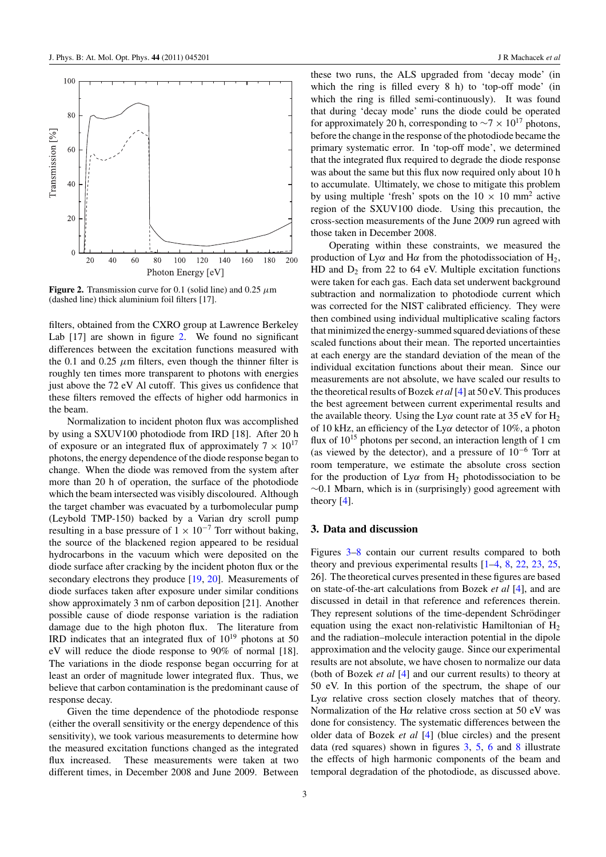

**Figure 2.** Transmission curve for 0.1 (solid line) and 0.25 *μ*m (dashed line) thick aluminium foil filters [17].

filters, obtained from the CXRO group at Lawrence Berkeley Lab [17] are shown in figure 2. We found no significant differences between the excitation functions measured with the 0.1 and 0.25  $\mu$ m filters, even though the thinner filter is roughly ten times more transparent to photons with energies just above the 72 eV Al cutoff. This gives us confidence that these filters removed the effects of higher odd harmonics in the beam.

Normalization to incident photon flux was accomplished by using a SXUV100 photodiode from IRD [18]. After 20 h of exposure or an integrated flux of approximately  $7 \times 10^{17}$ photons, the energy dependence of the diode response began to change. When the diode was removed from the system after more than 20 h of operation, the surface of the photodiode which the beam intersected was visibly discoloured. Although the target chamber was evacuated by a turbomolecular pump (Leybold TMP-150) backed by a Varian dry scroll pump resulting in a base pressure of  $1 \times 10^{-7}$  Torr without baking, the source of the blackened region appeared to be residual hydrocarbons in the vacuum which were deposited on the diode surface after cracking by the incident photon flux or the secondary electrons they produce [\[19](#page-8-0), [20\]](#page-8-0). Measurements of diode surfaces taken after exposure under similar conditions show approximately 3 nm of carbon deposition [21]. Another possible cause of diode response variation is the radiation damage due to the high photon flux. The literature from IRD indicates that an integrated flux of  $10^{19}$  photons at 50 eV will reduce the diode response to 90% of normal [18]. The variations in the diode response began occurring for at least an order of magnitude lower integrated flux. Thus, we believe that carbon contamination is the predominant cause of response decay.

Given the time dependence of the photodiode response (either the overall sensitivity or the energy dependence of this sensitivity), we took various measurements to determine how the measured excitation functions changed as the integrated flux increased. These measurements were taken at two different times, in December 2008 and June 2009. Between these two runs, the ALS upgraded from 'decay mode' (in which the ring is filled every 8 h) to 'top-off mode' (in which the ring is filled semi-continuously). It was found that during 'decay mode' runs the diode could be operated for approximately 20 h, corresponding to  $\sim$ 7 × 10<sup>17</sup> photons, before the change in the response of the photodiode became the primary systematic error. In 'top-off mode', we determined that the integrated flux required to degrade the diode response was about the same but this flux now required only about 10 h to accumulate. Ultimately, we chose to mitigate this problem by using multiple 'fresh' spots on the  $10 \times 10 \text{ mm}^2$  active region of the SXUV100 diode. Using this precaution, the cross-section measurements of the June 2009 run agreed with those taken in December 2008.

Operating within these constraints, we measured the production of Ly $\alpha$  and H $\alpha$  from the photodissociation of H<sub>2</sub>, HD and  $D_2$  from 22 to 64 eV. Multiple excitation functions were taken for each gas. Each data set underwent background subtraction and normalization to photodiode current which was corrected for the NIST calibrated efficiency. They were then combined using individual multiplicative scaling factors that minimized the energy-summed squared deviations of these scaled functions about their mean. The reported uncertainties at each energy are the standard deviation of the mean of the individual excitation functions about their mean. Since our measurements are not absolute, we have scaled our results to the theoretical results of Bozek *et al* [\[4\]](#page-7-0) at 50 eV. This produces the best agreement between current experimental results and the available theory. Using the Ly $\alpha$  count rate at 35 eV for H<sub>2</sub> of 10 kHz, an efficiency of the Ly*α* detector of 10%, a photon flux of  $10^{15}$  photons per second, an interaction length of 1 cm (as viewed by the detector), and a pressure of 10−<sup>6</sup> Torr at room temperature, we estimate the absolute cross section for the production of  $Ly\alpha$  from  $H_2$  photodissociation to be ∼0.1 Mbarn, which is in (surprisingly) good agreement with theory [\[4](#page-7-0)].

#### **3. Data and discussion**

Figures [3–](#page-5-0)[8](#page-6-0) contain our current results compared to both theory and previous experimental results [\[1–4](#page-7-0), [8,](#page-7-0) [22,](#page-8-0) [23](#page-8-0), [25,](#page-8-0) 26]. The theoretical curves presented in these figures are based on state-of-the-art calculations from Bozek *et al* [\[4\]](#page-7-0), and are discussed in detail in that reference and references therein. They represent solutions of the time-dependent Schrödinger equation using the exact non-relativistic Hamiltonian of  $H_2$ and the radiation–molecule interaction potential in the dipole approximation and the velocity gauge. Since our experimental results are not absolute, we have chosen to normalize our data (both of Bozek *et al* [\[4](#page-7-0)] and our current results) to theory at 50 eV. In this portion of the spectrum, the shape of our Ly*α* relative cross section closely matches that of theory. Normalization of the H*α* relative cross section at 50 eV was done for consistency. The systematic differences between the older data of Bozek *et al* [\[4](#page-7-0)] (blue circles) and the present data (red squares) shown in figures  $3, 5, 6$  $3, 5, 6$  $3, 5, 6$  $3, 5, 6$  $3, 5, 6$  and  $8$  illustrate the effects of high harmonic components of the beam and temporal degradation of the photodiode, as discussed above.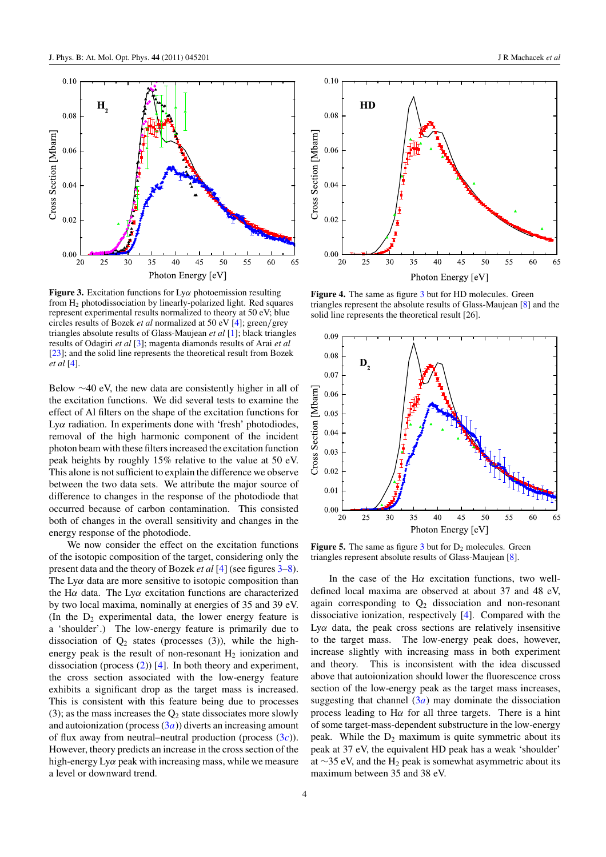<span id="page-5-0"></span>

**Figure 3.** Excitation functions for Ly*α* photoemission resulting from  $H<sub>2</sub>$  photodissociation by linearly-polarized light. Red squares represent experimental results normalized to theory at 50 eV; blue circles results of Bozek *et al* normalized at 50 eV [\[4\]](#page-7-0); green*/*grey triangles absolute results of Glass-Maujean *et al* [\[1\]](#page-7-0); black triangles results of Odagiri *et al* [\[3\]](#page-7-0); magenta diamonds results of Arai *et al* [\[23](#page-8-0)]; and the solid line represents the theoretical result from Bozek *et al* [\[4\]](#page-7-0).

Below ∼40 eV, the new data are consistently higher in all of the excitation functions. We did several tests to examine the effect of Al filters on the shape of the excitation functions for Ly*α* radiation. In experiments done with 'fresh' photodiodes, removal of the high harmonic component of the incident photon beam with these filters increased the excitation function peak heights by roughly 15% relative to the value at 50 eV. This alone is not sufficient to explain the difference we observe between the two data sets. We attribute the major source of difference to changes in the response of the photodiode that occurred because of carbon contamination. This consisted both of changes in the overall sensitivity and changes in the energy response of the photodiode.

We now consider the effect on the excitation functions of the isotopic composition of the target, considering only the present data and the theory of Bozek *et al* [\[4](#page-7-0)] (see figures 3[–8\)](#page-6-0). The Ly $\alpha$  data are more sensitive to isotopic composition than the H*α* data. The Ly*α* excitation functions are characterized by two local maxima, nominally at energies of 35 and 39 eV. (In the  $D_2$  experimental data, the lower energy feature is a 'shoulder'.) The low-energy feature is primarily due to dissociation of  $Q_2$  states (processes (3)), while the highenergy peak is the result of non-resonant  $H_2$  ionization and dissociation (process  $(2)$ ) [\[4\]](#page-7-0). In both theory and experiment, the cross section associated with the low-energy feature exhibits a significant drop as the target mass is increased. This is consistent with this feature being due to processes (3); as the mass increases the  $Q_2$  state dissociates more slowly and autoionization (process  $(3a)$  $(3a)$ ) diverts an increasing amount of flux away from neutral–neutral production (process [\(3](#page-2-0)*c*)). However, theory predicts an increase in the cross section of the high-energy Ly*α* peak with increasing mass, while we measure a level or downward trend.



**Figure 4.** The same as figure 3 but for HD molecules. Green triangles represent the absolute results of Glass-Maujean [\[8](#page-7-0)] and the solid line represents the theoretical result [26].



**Figure 5.** The same as figure  $3$  but for  $D_2$  molecules. Green triangles represent absolute results of Glass-Maujean [\[8\]](#page-7-0).

In the case of the H*α* excitation functions, two welldefined local maxima are observed at about 37 and 48 eV, again corresponding to  $Q_2$  dissociation and non-resonant dissociative ionization, respectively [\[4](#page-7-0)]. Compared with the Ly*α* data, the peak cross sections are relatively insensitive to the target mass. The low-energy peak does, however, increase slightly with increasing mass in both experiment and theory. This is inconsistent with the idea discussed above that autoionization should lower the fluorescence cross section of the low-energy peak as the target mass increases, suggesting that channel  $(3a)$  $(3a)$  may dominate the dissociation process leading to H*α* for all three targets. There is a hint of some target-mass-dependent substructure in the low-energy peak. While the  $D_2$  maximum is quite symmetric about its peak at 37 eV, the equivalent HD peak has a weak 'shoulder' at ∼35 eV, and the H<sub>2</sub> peak is somewhat asymmetric about its maximum between 35 and 38 eV.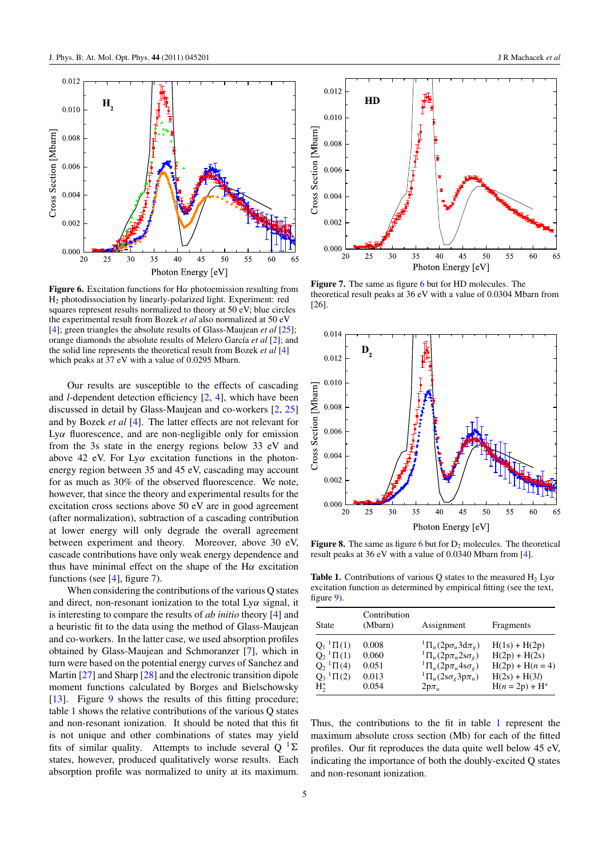

<span id="page-6-0"></span>

**Figure 6.** Excitation functions for H*α* photoemission resulting from H2 photodissociation by linearly-polarized light. Experiment: red squares represent results normalized to theory at 50 eV; blue circles the experimental result from Bozek *et al* also normalized at 50 eV [\[4\]](#page-7-0); green triangles the absolute results of Glass-Maujean *et al* [\[25\]](#page-8-0); orange diamonds the absolute results of Melero García *et al* [\[2](#page-7-0)]; and the solid line represents the theoretical result from Bozek *et al* [\[4\]](#page-7-0) which peaks at  $37$  eV with a value of 0.0295 Mbarn.

Our results are susceptible to the effects of cascading and *l*-dependent detection efficiency [\[2,](#page-7-0) [4](#page-7-0)], which have been discussed in detail by Glass-Maujean and co-workers [\[2](#page-7-0), [25\]](#page-8-0) and by Bozek *et al* [\[4](#page-7-0)]. The latter effects are not relevant for Ly*α* fluorescence, and are non-negligible only for emission from the 3s state in the energy regions below 33 eV and above 42 eV. For Ly*α* excitation functions in the photonenergy region between 35 and 45 eV, cascading may account for as much as 30% of the observed fluorescence. We note, however, that since the theory and experimental results for the excitation cross sections above 50 eV are in good agreement (after normalization), subtraction of a cascading contribution at lower energy will only degrade the overall agreement between experiment and theory. Moreover, above 30 eV, cascade contributions have only weak energy dependence and thus have minimal effect on the shape of the H*α* excitation functions (see [\[4\]](#page-7-0), figure 7).

When considering the contributions of the various Q states and direct, non-resonant ionization to the total Ly*α* signal, it is interesting to compare the results of *ab initio* theory [\[4](#page-7-0)] and a heuristic fit to the data using the method of Glass-Maujean and co-workers. In the latter case, we used absorption profiles obtained by Glass-Maujean and Schmoranzer [\[7](#page-7-0)], which in turn were based on the potential energy curves of Sanchez and Martin [\[27\]](#page-8-0) and Sharp [\[28](#page-8-0)] and the electronic transition dipole moment functions calculated by Borges and Bielschowsky [\[13](#page-8-0)]. Figure [9](#page-7-0) shows the results of this fitting procedure; table 1 shows the relative contributions of the various Q states and non-resonant ionization. It should be noted that this fit is not unique and other combinations of states may yield fits of similar quality. Attempts to include several  $Q^{-1}\Sigma$ states, however, produced qualitatively worse results. Each absorption profile was normalized to unity at its maximum.



**Figure 7.** The same as figure 6 but for HD molecules. The theoretical result peaks at 36 eV with a value of 0.0304 Mbarn from [26].



**Figure 8.** The same as figure 6 but for  $D_2$  molecules. The theoretical result peaks at 36 eV with a value of 0.0340 Mbarn from [\[4](#page-7-0)].

**Table 1.** Contributions of various Q states to the measured  $H_2$  Ly $\alpha$ excitation function as determined by empirical fitting (see the text, figure [9\)](#page-7-0).

| State                        | Contribution<br>(Mbarn) | Assignment                       | Fragments          |
|------------------------------|-------------------------|----------------------------------|--------------------|
| $Q_1$ <sup>1</sup> $\Pi$ (1) | 0.008                   | ${}^{1}\Pi_u(2p\sigma_u3d\pi_g)$ | $H(1s) + H(2p)$    |
| $Q_2$ <sup>1</sup> $\Pi$ (1) | 0.060                   | ${}^1\Pi_u(2p\pi_u2s\sigma_g)$   | $H(2p) + H(2s)$    |
| $Q_2$ <sup>1</sup> $\Pi$ (4) | 0.051                   | ${}^{1}\Pi_u(2p\pi_u4s\sigma_g)$ | $H(2p) + H(n = 4)$ |
| $Q_3$ <sup>1</sup> $\Pi$ (2) | 0.013                   | ${}^1\Pi_u(2s\sigma_g3p\pi_u)$   | $H(2s) + H(3l)$    |
| $H^*$                        | 0.054                   | $2p\pi_{u}$                      | $H(n = 2p) + H^+$  |

Thus, the contributions to the fit in table 1 represent the maximum absolute cross section (Mb) for each of the fitted profiles. Our fit reproduces the data quite well below 45 eV, indicating the importance of both the doubly-excited Q states and non-resonant ionization.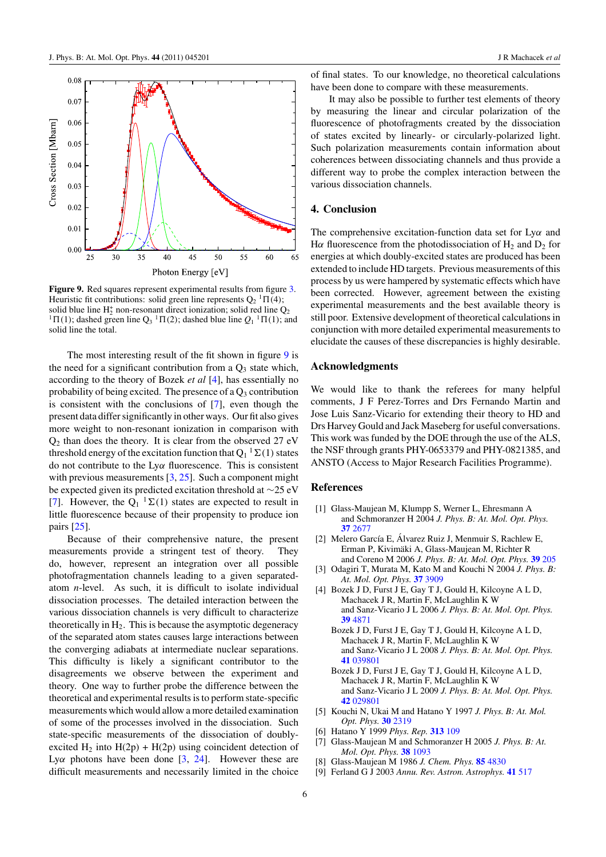<span id="page-7-0"></span>

Figure 9. Red squares represent experimental results from figure [3.](#page-5-0) Heuristic fit contributions: solid green line represents  $Q_2^{-1}\Pi(4)$ ; solid blue line H<sub>2</sub><sup><sup>1</sup></sup>  $\Pi$ <sub>2</sub><sup>1</sup>  $\Pi$ <sub>(2</sub><sup>1</sup>); dashed blue line  $Q_1$ <sup>1</sup> $\Pi$ <sub>(1</sub><sup>1</sup>); and solid line the total.

The most interesting result of the fit shown in figure 9 is the need for a significant contribution from a  $Q_3$  state which, according to the theory of Bozek *et al* [4], has essentially no probability of being excited. The presence of a  $Q_3$  contribution is consistent with the conclusions of [7], even though the present data differ significantly in other ways. Our fit also gives more weight to non-resonant ionization in comparison with  $Q<sub>2</sub>$  than does the theory. It is clear from the observed 27 eV threshold energy of the excitation function that  $Q_1^{-1}\Sigma(1)$  states do not contribute to the Ly*α* fluorescence. This is consistent with previous measurements [3, [25\]](#page-8-0). Such a component might be expected given its predicted excitation threshold at ∼25 eV [7]. However, the  $Q_1^{-1} \Sigma(1)$  states are expected to result in little fluorescence because of their propensity to produce ion pairs [\[25](#page-8-0)].

Because of their comprehensive nature, the present measurements provide a stringent test of theory. They do, however, represent an integration over all possible photofragmentation channels leading to a given separatedatom *n*-level. As such, it is difficult to isolate individual dissociation processes. The detailed interaction between the various dissociation channels is very difficult to characterize theoretically in  $H_2$ . This is because the asymptotic degeneracy of the separated atom states causes large interactions between the converging adiabats at intermediate nuclear separations. This difficulty is likely a significant contributor to the disagreements we observe between the experiment and theory. One way to further probe the difference between the theoretical and experimental results is to perform state-specific measurements which would allow a more detailed examination of some of the processes involved in the dissociation. Such state-specific measurements of the dissociation of doublyexcited H<sub>2</sub> into H(2p) + H(2p) using coincident detection of Lyα photons have been done  $[3, 24]$  $[3, 24]$ . However these are difficult measurements and necessarily limited in the choice of final states. To our knowledge, no theoretical calculations have been done to compare with these measurements.

It may also be possible to further test elements of theory by measuring the linear and circular polarization of the fluorescence of photofragments created by the dissociation of states excited by linearly- or circularly-polarized light. Such polarization measurements contain information about coherences between dissociating channels and thus provide a different way to probe the complex interaction between the various dissociation channels.

#### **4. Conclusion**

The comprehensive excitation-function data set for Ly*α* and H $\alpha$  fluorescence from the photodissociation of H<sub>2</sub> and D<sub>2</sub> for energies at which doubly-excited states are produced has been extended to include HD targets. Previous measurements of this process by us were hampered by systematic effects which have been corrected. However, agreement between the existing experimental measurements and the best available theory is still poor. Extensive development of theoretical calculations in conjunction with more detailed experimental measurements to elucidate the causes of these discrepancies is highly desirable.

#### **Acknowledgments**

We would like to thank the referees for many helpful comments, J F Perez-Torres and Drs Fernando Martin and Jose Luis Sanz-Vicario for extending their theory to HD and Drs Harvey Gould and Jack Maseberg for useful conversations. This work was funded by the DOE through the use of the ALS, the NSF through grants PHY-0653379 and PHY-0821385, and ANSTO (Access to Major Research Facilities Programme).

#### **References**

- [1] Glass-Maujean M, Klumpp S, Werner L, Ehresmann A and Schmoranzer H 2004 *J. Phys. B: At. Mol. Opt. Phys.* **37** [2677](http://dx.doi.org/10.1088/0953-4075/37/13/005)
- [2] Melero García E, Álvarez Ruiz J, Menmuir S, Rachlew E, Erman P, Kivimaki A, Glass-Maujean M, Richter R ¨ and Coreno M 2006 *J. Phys. B: At. Mol. Opt. Phys.* **39** [205](http://dx.doi.org/10.1088/0953-4075/39/2/001)
- [3] Odagiri T, Murata M, Kato M and Kouchi N 2004 *J. Phys. B: At. Mol. Opt. Phys.* **37** [3909](http://dx.doi.org/10.1088/0953-4075/37/19/010)
- [4] Bozek J D, Furst J E, Gay T J, Gould H, Kilcoyne A L D, Machacek J R, Martin F, McLaughlin K W and Sanz-Vicario J L 2006 *J. Phys. B: At. Mol. Opt. Phys.* **39** [4871](http://dx.doi.org/10.1088/0953-4075/39/23/006)
	- Bozek J D, Furst J E, Gay T J, Gould H, Kilcoyne A L D, Machacek J R, Martin F, McLaughlin K W and Sanz-Vicario J L 2008 *J. Phys. B: At. Mol. Opt. Phys.* **41** [039801](http://dx.doi.org/10.1088/0953-4075/41/3/039801)
	- Bozek J D, Furst J E, Gay T J, Gould H, Kilcoyne A L D, Machacek J R, Martin F, McLaughlin K W and Sanz-Vicario J L 2009 *J. Phys. B: At. Mol. Opt. Phys.* **42** [029801](http://dx.doi.org/10.1088/0953-4075/42/2/029801)
- [5] Kouchi N, Ukai M and Hatano Y 1997 *J. Phys. B: At. Mol. Opt. Phys.* **30** [2319](http://dx.doi.org/10.1088/0953-4075/30/10/008)
- [6] Hatano Y 1999 *Phys. Rep.* **[313](http://dx.doi.org/10.1016/S0370-1573(98)00086-6)** 109
- [7] Glass-Maujean M and Schmoranzer H 2005 *J. Phys. B: At. Mol. Opt. Phys.* **38** [1093](http://dx.doi.org/10.1088/0953-4075/38/8/002)
- [8] Glass-Maujean M 1986 *J. Chem. Phys.* **85** [4830](http://dx.doi.org/10.1063/1.451717)
- [9] Ferland G J 2003 *Annu. Rev. Astron. Astrophys.* **41** [517](http://dx.doi.org/10.1146/astro.2003.41.issue-1)